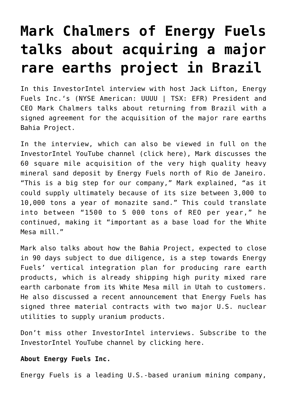## **[Mark Chalmers of Energy Fuels](https://investorintel.com/investorintel-video/mark-chalmers-of-energy-fuels-talks-about-acquiring-a-major-rare-earths-project-in-brazil/) [talks about acquiring a major](https://investorintel.com/investorintel-video/mark-chalmers-of-energy-fuels-talks-about-acquiring-a-major-rare-earths-project-in-brazil/) [rare earths project in Brazil](https://investorintel.com/investorintel-video/mark-chalmers-of-energy-fuels-talks-about-acquiring-a-major-rare-earths-project-in-brazil/)**

In this InvestorIntel interview with host Jack Lifton, [Energy](https://www.energyfuels.com/index.php) [Fuels Inc.'](https://www.energyfuels.com/index.php)s (NYSE American: UUUU | TSX: EFR) President and CEO Mark Chalmers talks about returning from Brazil with a signed agreement for the acquisition of the major rare earths Bahia Project.

In the interview, which can also be viewed in full on the InvestorIntel YouTube channel ([click here\)](https://youtu.be/fPPegpza6Pw), Mark discusses the 60 square mile acquisition of the very high quality heavy mineral sand deposit by Energy Fuels north of Rio de Janeiro. "This is a big step for our company," Mark explained, "as it could supply ultimately because of its size between 3,000 to 10,000 tons a year of monazite sand." This could translate into between "1500 to 5 000 tons of REO per year," he continued, making it "important as a base load for the White Mesa mill."

Mark also talks about how the Bahia Project, expected to close in 90 days subject to due diligence, is a step towards Energy Fuels' vertical integration plan for producing rare earth products, which is already shipping high purity mixed rare earth carbonate from its White Mesa mill in Utah to customers. He also discussed a recent announcement that Energy Fuels has signed three material contracts with two major U.S. nuclear utilities to supply uranium products.

Don't miss other InvestorIntel interviews. Subscribe to the InvestorIntel YouTube channel by [clicking here](https://www.youtube.com/watch?v=pvIGDUjhFSg).

## **About Energy Fuels Inc.**

Energy Fuels is a leading U.S.-based uranium mining company,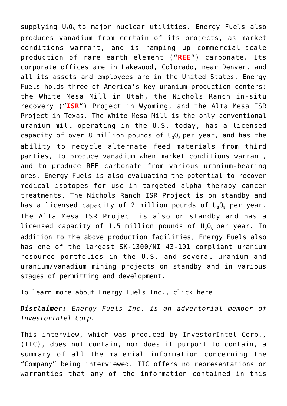supplying  $U_3O_8$  to major nuclear utilities. Energy Fuels also produces vanadium from certain of its projects, as market conditions warrant, and is ramping up commercial-scale production of rare earth element ("**REE**") carbonate. Its corporate offices are in Lakewood, Colorado, near Denver, and all its assets and employees are in the United States. Energy Fuels holds three of America's key uranium production centers: the White Mesa Mill in Utah, the Nichols Ranch in-situ recovery ("**ISR**") Project in Wyoming, and the Alta Mesa ISR Project in Texas. The White Mesa Mill is the only conventional uranium mill operating in the U.S. today, has a licensed capacity of over 8 million pounds of  $U_3O_8$  per year, and has the ability to recycle alternate feed materials from third parties, to produce vanadium when market conditions warrant, and to produce REE carbonate from various uranium-bearing ores. Energy Fuels is also evaluating the potential to recover medical isotopes for use in targeted alpha therapy cancer treatments. The Nichols Ranch ISR Project is on standby and has a licensed capacity of 2 million pounds of  $U_3O_8$  per year. The Alta Mesa ISR Project is also on standby and has a licensed capacity of 1.5 million pounds of  $U_3O_8$  per year. In addition to the above production facilities, Energy Fuels also has one of the largest SK-1300/NI 43-101 compliant uranium resource portfolios in the U.S. and several uranium and uranium/vanadium mining projects on standby and in various stages of permitting and development.

To learn more about Energy Fuels Inc., [click here](https://www.energyfuels.com/index.php)

*Disclaimer: Energy Fuels Inc. is an advertorial member of InvestorIntel Corp.*

This interview, which was produced by InvestorIntel Corp., (IIC), does not contain, nor does it purport to contain, a summary of all the material information concerning the "Company" being interviewed. IIC offers no representations or warranties that any of the information contained in this